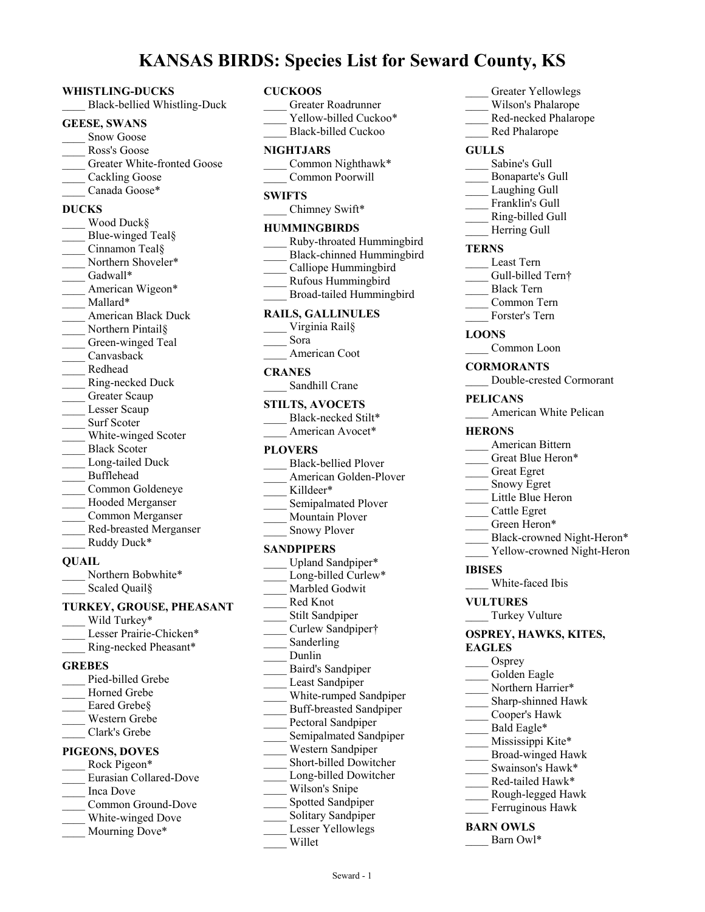# **KANSAS BIRDS: Species List for Seward County, KS**

#### **WHISTLING-DUCKS**

\_\_\_\_ Black-bellied Whistling-Duck

#### **GEESE, SWANS**

- Snow Goose
- Ross's Goose
- Greater White-fronted Goose
- Cackling Goose
- Canada Goose\*

#### **DUCKS**

| Wood Duck§                 |
|----------------------------|
| Blue-winged Teal§          |
| Cinnamon Teal§             |
| Northern Shoveler*         |
| Gadwall*                   |
| American Wigeon*           |
| Mallard*                   |
| <b>American Black Duck</b> |
| Northern Pintail§          |
| Green-winged Teal          |
| Canvasback                 |
| Redhead                    |
| Ring-necked Duck           |
| Greater Scaup              |
| Lesser Scaup               |
| <b>Surf Scoter</b>         |
| White-winged Scoter        |
| <b>Black Scoter</b>        |
| Long-tailed Duck           |
| Bufflehead                 |
| Common Goldeneye           |
| Hooded Merganser           |
| Common Merganser           |
| Red-breasted Merganser     |
| Ruddy Duck*                |
|                            |

#### **QUAIL**

Northern Bobwhite\* Scaled Quail§

# **TURKEY, GROUSE, PHEASANT**

- Wild Turkey\* Lesser Prairie-Chicken\*
- \_\_\_\_ Ring-necked Pheasant\*

# **GREBES**

- Pied-billed Grebe Horned Grebe Eared Grebe§ \_\_\_\_ Western Grebe
- \_\_\_\_ Clark's Grebe

#### **PIGEONS, DOVES**

- Rock Pigeon\* \_\_\_\_ Eurasian Collared-Dove \_\_\_\_ Inca Dove Common Ground-Dove
- White-winged Dove
- Mourning Dove\*
- **CUCKOOS** \_\_\_\_ Greater Roadrunner Yellow-billed Cuckoo\* Black-billed Cuckoo **NIGHTJARS** Common Nighthawk\* \_\_\_\_ Common Poorwill **SWIFTS** \_Chimney Swift\* **HUMMINGBIRDS** \_\_\_\_ Ruby-throated Hummingbird \_\_\_\_ Black-chinned Hummingbird Calliope Hummingbird \_\_\_\_ Rufous Hummingbird \_\_\_\_ Broad-tailed Hummingbird **RAILS, GALLINULES** Virginia Rail§ \_\_\_\_ Sora \_\_\_\_ American Coot **CRANES** Sandhill Crane **STILTS, AVOCETS** Black-necked Stilt\* American Avocet\* **PLOVERS** Black-bellied Plover American Golden-Plover Killdeer\* Semipalmated Plover \_\_\_\_ Mountain Plover Snowy Plover **SANDPIPERS** Upland Sandpiper\* Long-billed Curlew\* Marbled Godwit \_\_\_\_ Red Knot Stilt Sandpiper \_\_\_\_ Curlew Sandpiper† Sanderling \_\_\_\_ Dunlin \_\_\_\_ Baird's Sandpiper Least Sandpiper White-rumped Sandpiper \_\_\_\_ Buff-breasted Sandpiper Pectoral Sandpiper
	- Semipalmated Sandpiper
- \_\_\_\_ Western Sandpiper
- \_\_\_\_ Short-billed Dowitcher
- \_\_\_\_ Long-billed Dowitcher
- Wilson's Snipe
- \_\_\_\_ Spotted Sandpiper
- Solitary Sandpiper
- Lesser Yellowlegs
	- \_\_\_\_ Willet
- \_\_\_\_ Greater Yellowlegs
- Wilson's Phalarope
- \_\_\_\_ Red-necked Phalarope
- Red Phalarope

# **GULLS**

- Sabine's Gull
- \_\_\_\_ Bonaparte's Gull
- Laughing Gull
- Franklin's Gull
- \_\_\_\_ Ring-billed Gull
- Herring Gull

# **TERNS**

- \_\_\_\_ Least Tern
- Gull-billed Tern†
- \_\_\_\_ Black Tern
- \_\_\_\_ Common Tern
- Forster's Tern

# **LOONS**

- Common Loon
- **CORMORANTS**
- \_\_\_\_ Double-crested Cormorant

#### **PELICANS**

American White Pelican

#### **HERONS**

- \_\_\_\_ American Bittern
- Great Blue Heron\*
- \_\_\_\_ Great Egret
- Snowy Egret
- Little Blue Heron
- \_\_\_\_ Cattle Egret
- Green Heron\*
- Black-crowned Night-Heron\*
- Yellow-crowned Night-Heron

# **IBISES**

White-faced Ibis

# **VULTURES**

Turkey Vulture

#### **OSPREY, HAWKS, KITES, EAGLES**

- Osprey Golden Eagle Northern Harrier\* Sharp-shinned Hawk \_\_\_\_ Cooper's Hawk Bald Eagle\* Mississippi Kite\* \_\_\_\_ Broad-winged Hawk Swainson's Hawk\* \_\_\_\_ Red-tailed Hawk\* \_\_\_\_ Rough-legged Hawk Ferruginous Hawk **BARN OWLS**
- Barn Owl\*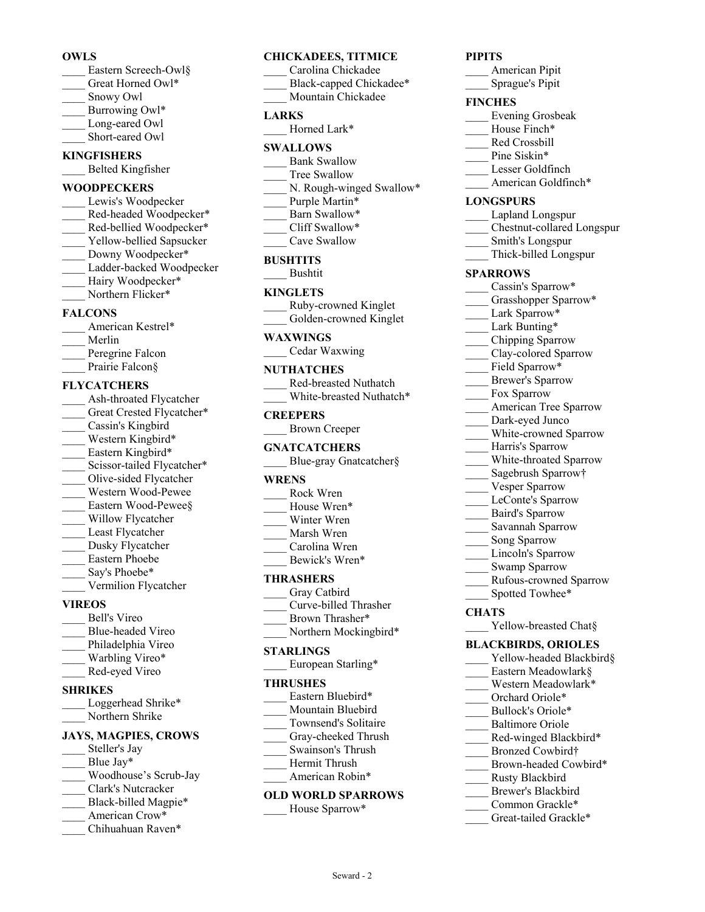# **OWLS**

- Eastern Screech-Owl§ Great Horned Owl\*
- \_\_\_\_ Snowy Owl
- Burrowing Owl\*
- Long-eared Owl
- Short-eared Owl

#### **KINGFISHERS** \_\_\_\_ Belted Kingfisher

# **WOODPECKERS**

Lewis's Woodpecker Red-headed Woodpecker\* Red-bellied Woodpecker\* Yellow-bellied Sapsucker Downy Woodpecker\* Ladder-backed Woodpecker Hairy Woodpecker\* Northern Flicker\*

# **FALCONS**

| American Kestrel* |
|-------------------|
| Merlin            |
| Peregrine Falcon  |
| Prairie Falcon§   |

# **FLYCATCHERS**

- Ash-throated Flycatcher Great Crested Flycatcher\* Cassin's Kingbird Western Kingbird\* Eastern Kingbird\* Scissor-tailed Flycatcher\* Olive-sided Flycatcher \_\_\_\_ Western Wood-Pewee Eastern Wood-Pewee§ \_\_\_\_ Willow Flycatcher Least Flycatcher Dusky Flycatcher \_\_\_\_ Eastern Phoebe Say's Phoebe\* \_\_\_\_ Vermilion Flycatcher **VIREOS** \_\_\_\_ Bell's Vireo
- \_\_\_\_ Blue-headed Vireo
- Philadelphia Vireo
- Warbling Vireo\*
- \_\_\_\_ Red-eyed Vireo

# **SHRIKES**

Loggerhead Shrike\* Northern Shrike

# **JAYS, MAGPIES, CROWS**

- Steller's Jay Blue Jay\*
- \_\_\_\_ Woodhouse's Scrub-Jay
- \_\_\_\_ Clark's Nutcracker
- Black-billed Magpie\*
- American Crow\*
- Chihuahuan Raven\*

# **CHICKADEES, TITMICE**

- \_\_\_\_ Carolina Chickadee
- Black-capped Chickadee\*
- Mountain Chickadee

# **LARKS**

Horned Lark\*

# **SWALLOWS**

- Bank Swallow
- Tree Swallow
- N. Rough-winged Swallow\*
- Purple Martin\*
- Barn Swallow\* Cliff Swallow\*
	- Cave Swallow
	-

# **BUSHTITS**

\_\_\_\_ Bushtit

# **KINGLETS**

- \_\_\_\_ Ruby-crowned Kinglet
- Golden-crowned Kinglet

# **WAXWINGS**

\_\_\_\_ Cedar Waxwing

# **NUTHATCHES**

\_\_\_\_ Red-breasted Nuthatch White-breasted Nuthatch\*

# **CREEPERS**

# **GNATCATCHERS**

|  | Blue-gray Gnatcatcher§ |  |
|--|------------------------|--|
|--|------------------------|--|

# **WRENS**

- \_\_\_\_ Rock Wren House Wren\* Winter Wren
- \_\_\_\_ Marsh Wren
- Carolina Wren
- Bewick's Wren\*

# **THRASHERS**

- Gray Catbird
- \_\_\_\_ Curve-billed Thrasher
- Brown Thrasher\*
- Northern Mockingbird\*

# **STARLINGS**

European Starling\*

#### **THRUSHES**

- Eastern Bluebird\*
- Mountain Bluebird
- \_\_\_\_ Townsend's Solitaire Gray-cheeked Thrush
- \_\_\_\_ Swainson's Thrush
- \_\_\_\_ Hermit Thrush
- American Robin\*

# **OLD WORLD SPARROWS**

Seward - 2

House Sparrow\*

# **PIPITS**

\_\_\_\_ American Pipit \_\_\_\_ Sprague's Pipit

# **FINCHES**

- \_\_\_\_ Evening Grosbeak
- House Finch\*
- \_\_\_\_ Red Crossbill
- Pine Siskin\*
- \_\_\_\_ Lesser Goldfinch
- American Goldfinch\*

# **LONGSPURS**

- \_\_\_\_ Lapland Longspur
- \_\_\_\_ Chestnut-collared Longspur
- \_\_\_\_ Smith's Longspur
- \_\_\_\_ Thick-billed Longspur

# **SPARROWS**

- Cassin's Sparrow\*
- Grasshopper Sparrow\*
- Lark Sparrow\*
- Lark Bunting\*
- \_\_\_\_ Chipping Sparrow
- Clay-colored Sparrow
- Field Sparrow\*
- \_\_\_\_ Brewer's Sparrow
- Fox Sparrow

**CHATS**

\_\_\_\_ American Tree Sparrow Dark-eyed Junco

> Harris's Sparrow \_\_\_\_ White-throated Sparrow Sagebrush Sparrow† Vesper Sparrow LeConte's Sparrow \_\_\_\_ Baird's Sparrow \_\_\_\_ Savannah Sparrow Song Sparrow Lincoln's Sparrow Swamp Sparrow

White-crowned Sparrow

\_\_\_\_ Rufous-crowned Sparrow Spotted Towhee\*

\_\_\_\_ Yellow-breasted Chat§ **BLACKBIRDS, ORIOLES**

> \_\_\_\_ Rusty Blackbird Brewer's Blackbird Common Grackle\* Great-tailed Grackle\*

Yellow-headed Blackbird§ \_\_\_\_ Eastern Meadowlark§ \_\_\_\_ Western Meadowlark\* Orchard Oriole\* Bullock's Oriole\* Baltimore Oriole Red-winged Blackbird\* \_\_\_\_ Bronzed Cowbird† Brown-headed Cowbird\*